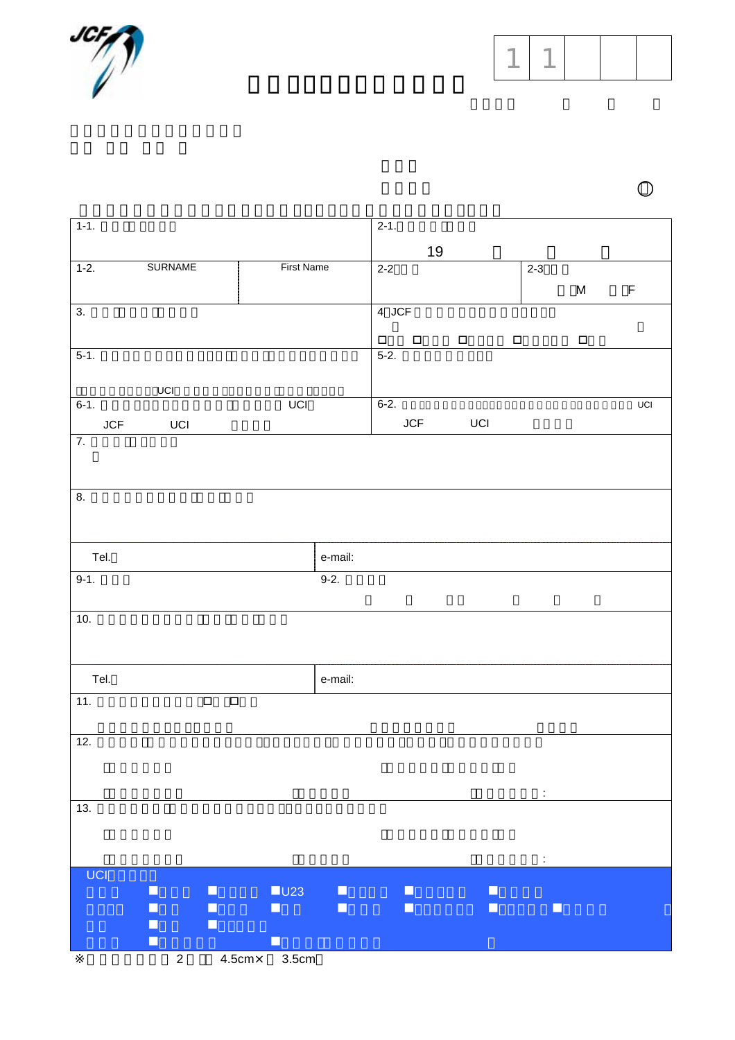

 $1 \mid 1$ 

| $1-1.$                 |                                        |                   | $2-1.$    |        |                  |         |        |                             |
|------------------------|----------------------------------------|-------------------|-----------|--------|------------------|---------|--------|-----------------------------|
|                        |                                        |                   |           | $19$   |                  |         |        |                             |
| $1-2.$                 | <b>SURNAME</b>                         | <b>First Name</b> | $2 - 2$   |        |                  | $2 - 3$ |        |                             |
|                        |                                        |                   |           |        |                  |         | M      | $\mathsf F$                 |
| $\overline{3}$ .       |                                        |                   | 4 JCF     |        |                  |         |        |                             |
|                        |                                        |                   | $\Box$    | $\Box$ | $\Box$<br>$\Box$ |         | $\Box$ |                             |
| $5-1.$                 |                                        |                   | $5-2.$    |        |                  |         |        |                             |
|                        |                                        |                   |           |        |                  |         |        |                             |
| $\sf UCI$<br>$6 - 1$ . | UCI                                    |                   | $6 - 2$ . |        |                  |         |        | $\ensuremath{\mathsf{UCI}}$ |
| JCF                    | UCI                                    |                   |           | JCF    | UCI              |         |        |                             |
| $\overline{7}$ .       |                                        |                   |           |        |                  |         |        |                             |
|                        |                                        |                   |           |        |                  |         |        |                             |
|                        |                                        |                   |           |        |                  |         |        |                             |
| 8.                     |                                        |                   |           |        |                  |         |        |                             |
|                        |                                        |                   |           |        |                  |         |        |                             |
|                        |                                        |                   |           |        |                  |         |        |                             |
| Tel.                   |                                        | e-mail:           |           |        |                  |         |        |                             |
| $9-1.$                 |                                        | $9-2.$            |           |        |                  |         |        |                             |
|                        |                                        |                   |           |        |                  |         |        |                             |
| 10.                    |                                        |                   |           |        |                  |         |        |                             |
|                        |                                        |                   |           |        |                  |         |        |                             |
|                        |                                        |                   |           |        |                  |         |        |                             |
| Tel.                   |                                        | e-mail:           |           |        |                  |         |        |                             |
| 11.                    | $\overline{\square}$<br>$\Box$         |                   |           |        |                  |         |        |                             |
|                        |                                        |                   |           |        |                  |         |        |                             |
| 12.                    |                                        |                   |           |        |                  |         |        |                             |
|                        |                                        |                   |           |        |                  |         |        |                             |
|                        |                                        |                   |           |        |                  |         |        |                             |
| 13.                    |                                        |                   |           |        |                  |         |        |                             |
|                        |                                        |                   |           |        |                  |         |        |                             |
|                        |                                        |                   |           |        |                  |         |        |                             |
| UCI                    |                                        |                   |           |        |                  | ÷       |        |                             |
| Ш                      | U23<br>$\Box$                          | о                 |           | L.     | H                |         |        |                             |
|                        | $\blacksquare$<br>□                    | $\Box$            |           | Ш      | □                | $\Box$  |        |                             |
| H                      | $\Box$<br>о                            |                   |           |        |                  |         |        |                             |
| $\Box$                 | $4.5cm \times 3.5cm$<br>$\overline{2}$ |                   |           |        |                  |         |        |                             |